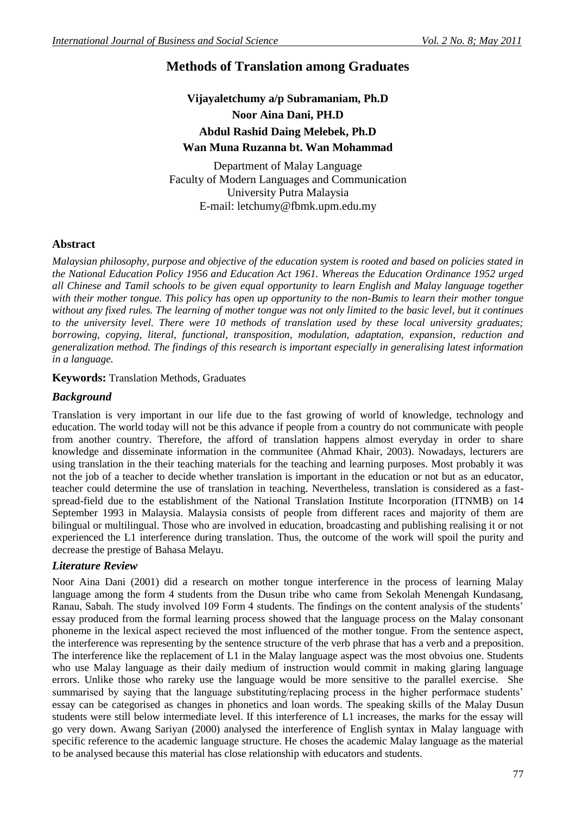# **Methods of Translation among Graduates**

# **Vijayaletchumy a/p Subramaniam, Ph.D Noor Aina Dani, PH.D Abdul Rashid Daing Melebek, Ph.D Wan Muna Ruzanna bt. Wan Mohammad**

Department of Malay Language Faculty of Modern Languages and Communication University Putra Malaysia E-mail: letchumy@fbmk.upm.edu.my

## **Abstract**

*Malaysian philosophy, purpose and objective of the education system is rooted and based on policies stated in the National Education Policy 1956 and Education Act 1961. Whereas the Education Ordinance 1952 urged all Chinese and Tamil schools to be given equal opportunity to learn English and Malay language together with their mother tongue. This policy has open up opportunity to the non-Bumis to learn their mother tongue without any fixed rules. The learning of mother tongue was not only limited to the basic level, but it continues to the university level. There were 10 methods of translation used by these local university graduates; borrowing, copying, literal, functional, transposition, modulation, adaptation, expansion, reduction and generalization method. The findings of this research is important especially in generalising latest information in a language.*

#### **Keywords:** Translation Methods, Graduates

### *Background*

Translation is very important in our life due to the fast growing of world of knowledge, technology and education. The world today will not be this advance if people from a country do not communicate with people from another country. Therefore, the afford of translation happens almost everyday in order to share knowledge and disseminate information in the communitee (Ahmad Khair, 2003). Nowadays, lecturers are using translation in the their teaching materials for the teaching and learning purposes. Most probably it was not the job of a teacher to decide whether translation is important in the education or not but as an educator, teacher could determine the use of translation in teaching. Nevertheless, translation is considered as a fastspread-field due to the establishment of the National Translation Institute Incorporation (ITNMB) on 14 September 1993 in Malaysia. Malaysia consists of people from different races and majority of them are bilingual or multilingual. Those who are involved in education, broadcasting and publishing realising it or not experienced the L1 interference during translation. Thus, the outcome of the work will spoil the purity and decrease the prestige of Bahasa Melayu.

### *Literature Review*

Noor Aina Dani (2001) did a research on mother tongue interference in the process of learning Malay language among the form 4 students from the Dusun tribe who came from Sekolah Menengah Kundasang, Ranau, Sabah. The study involved 109 Form 4 students. The findings on the content analysis of the students" essay produced from the formal learning process showed that the language process on the Malay consonant phoneme in the lexical aspect recieved the most influenced of the mother tongue. From the sentence aspect, the interference was representing by the sentence structure of the verb phrase that has a verb and a preposition. The interference like the replacement of L1 in the Malay language aspect was the most obvoius one. Students who use Malay language as their daily medium of instruction would commit in making glaring language errors. Unlike those who rareky use the language would be more sensitive to the parallel exercise. She summarised by saying that the language substituting/replacing process in the higher performace students' essay can be categorised as changes in phonetics and loan words. The speaking skills of the Malay Dusun students were still below intermediate level. If this interference of L1 increases, the marks for the essay will go very down. Awang Sariyan (2000) analysed the interference of English syntax in Malay language with specific reference to the academic language structure. He choses the academic Malay language as the material to be analysed because this material has close relationship with educators and students.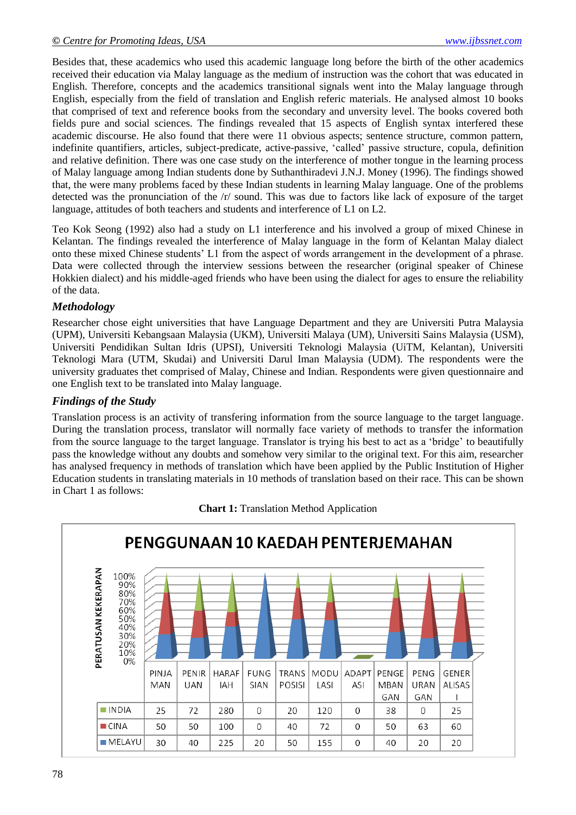Besides that, these academics who used this academic language long before the birth of the other academics received their education via Malay language as the medium of instruction was the cohort that was educated in English. Therefore, concepts and the academics transitional signals went into the Malay language through English, especially from the field of translation and English referic materials. He analysed almost 10 books that comprised of text and reference books from the secondary and unversity level. The books covered both fields pure and social sciences. The findings revealed that 15 aspects of English syntax interfered these academic discourse. He also found that there were 11 obvious aspects; sentence structure, common pattern, indefinite quantifiers, articles, subject-predicate, active-passive, "called" passive structure, copula, definition and relative definition. There was one case study on the interference of mother tongue in the learning process of Malay language among Indian students done by Suthanthiradevi J.N.J. Money (1996). The findings showed that, the were many problems faced by these Indian students in learning Malay language. One of the problems detected was the pronunciation of the /r/ sound. This was due to factors like lack of exposure of the target language, attitudes of both teachers and students and interference of L1 on L2.

Teo Kok Seong (1992) also had a study on L1 interference and his involved a group of mixed Chinese in Kelantan. The findings revealed the interference of Malay language in the form of Kelantan Malay dialect onto these mixed Chinese students" L1 from the aspect of words arrangement in the development of a phrase. Data were collected through the interview sessions between the researcher (original speaker of Chinese Hokkien dialect) and his middle-aged friends who have been using the dialect for ages to ensure the reliability of the data.

# *Methodology*

Researcher chose eight universities that have Language Department and they are Universiti Putra Malaysia (UPM), Universiti Kebangsaan Malaysia (UKM), Universiti Malaya (UM), Universiti Sains Malaysia (USM), Universiti Pendidikan Sultan Idris (UPSI), Universiti Teknologi Malaysia (UiTM, Kelantan), Universiti Teknologi Mara (UTM, Skudai) and Universiti Darul Iman Malaysia (UDM). The respondents were the university graduates thet comprised of Malay, Chinese and Indian. Respondents were given questionnaire and one English text to be translated into Malay language.

# *Findings of the Study*

Translation process is an activity of transfering information from the source language to the target language. During the translation process, translator will normally face variety of methods to transfer the information from the source language to the target language. Translator is trying his best to act as a "bridge" to beautifully pass the knowledge without any doubts and somehow very similar to the original text. For this aim, researcher has analysed frequency in methods of translation which have been applied by the Public Institution of Higher Education students in translating materials in 10 methods of translation based on their race. This can be shown in Chart 1 as follows:



### **Chart 1:** Translation Method Application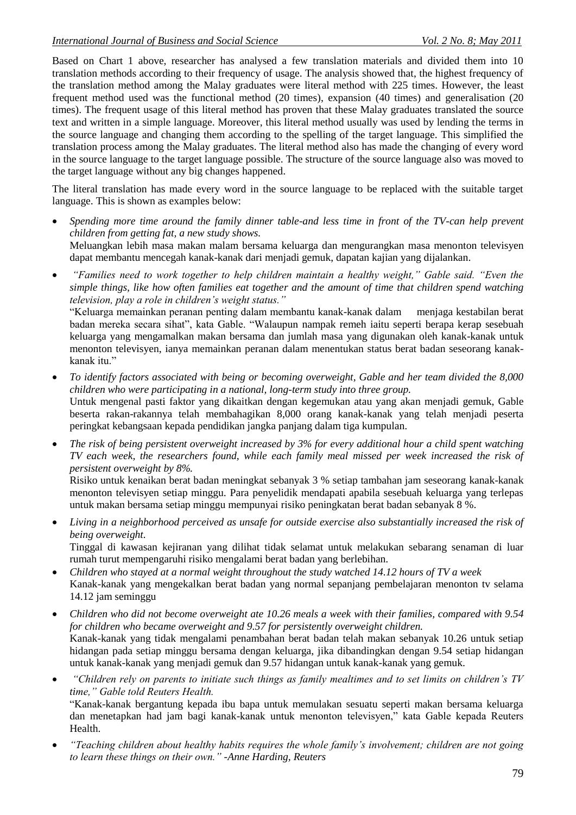Based on Chart 1 above, researcher has analysed a few translation materials and divided them into 10 translation methods according to their frequency of usage. The analysis showed that, the highest frequency of the translation method among the Malay graduates were literal method with 225 times. However, the least frequent method used was the functional method (20 times), expansion (40 times) and generalisation (20 times). The frequent usage of this literal method has proven that these Malay graduates translated the source text and written in a simple language. Moreover, this literal method usually was used by lending the terms in the source language and changing them according to the spelling of the target language. This simplified the translation process among the Malay graduates. The literal method also has made the changing of every word in the source language to the target language possible. The structure of the source language also was moved to the target language without any big changes happened.

The literal translation has made every word in the source language to be replaced with the suitable target language. This is shown as examples below:

- *Spending more time around the family dinner table-and less time in front of the TV-can help prevent children from getting fat, a new study shows.* Meluangkan lebih masa makan malam bersama keluarga dan mengurangkan masa menonton televisyen dapat membantu mencegah kanak-kanak dari menjadi gemuk, dapatan kajian yang dijalankan.
- *"Families need to work together to help children maintain a healthy weight," Gable said. "Even the simple things, like how often families eat together and the amount of time that children spend watching television, play a role in children's weight status."*

"Keluarga memainkan peranan penting dalam membantu kanak-kanak dalam menjaga kestabilan berat badan mereka secara sihat", kata Gable. "Walaupun nampak remeh iaitu seperti berapa kerap sesebuah keluarga yang mengamalkan makan bersama dan jumlah masa yang digunakan oleh kanak-kanak untuk menonton televisyen, ianya memainkan peranan dalam menentukan status berat badan seseorang kanakkanak itu."

- *To identify factors associated with being or becoming overweight, Gable and her team divided the 8,000 children who were participating in a national, long-term study into three group.* Untuk mengenal pasti faktor yang dikaitkan dengan kegemukan atau yang akan menjadi gemuk, Gable beserta rakan-rakannya telah membahagikan 8,000 orang kanak-kanak yang telah menjadi peserta peringkat kebangsaan kepada pendidikan jangka panjang dalam tiga kumpulan.
- *The risk of being persistent overweight increased by 3% for every additional hour a child spent watching TV each week, the researchers found, while each family meal missed per week increased the risk of persistent overweight by 8%.*

Risiko untuk kenaikan berat badan meningkat sebanyak 3 % setiap tambahan jam seseorang kanak-kanak menonton televisyen setiap minggu. Para penyelidik mendapati apabila sesebuah keluarga yang terlepas untuk makan bersama setiap minggu mempunyai risiko peningkatan berat badan sebanyak 8 %.

 *Living in a neighborhood perceived as unsafe for outside exercise also substantially increased the risk of being overweight.* Tinggal di kawasan kejiranan yang dilihat tidak selamat untuk melakukan sebarang senaman di luar

rumah turut mempengaruhi risiko mengalami berat badan yang berlebihan.

- *Children who stayed at a normal weight throughout the study watched 14.12 hours of TV a week* Kanak-kanak yang mengekalkan berat badan yang normal sepanjang pembelajaran menonton tv selama 14.12 jam seminggu
- *Children who did not become overweight ate 10.26 meals a week with their families, compared with 9.54 for children who became overweight and 9.57 for persistently overweight children.* Kanak-kanak yang tidak mengalami penambahan berat badan telah makan sebanyak 10.26 untuk setiap hidangan pada setiap minggu bersama dengan keluarga, jika dibandingkan dengan 9.54 setiap hidangan untuk kanak-kanak yang menjadi gemuk dan 9.57 hidangan untuk kanak-kanak yang gemuk.
- *"Children rely on parents to initiate such things as family mealtimes and to set limits on children's TV time," Gable told Reuters Health.* "Kanak-kanak bergantung kepada ibu bapa untuk memulakan sesuatu seperti makan bersama keluarga

dan menetapkan had jam bagi kanak-kanak untuk menonton televisyen," kata Gable kepada Reuters Health.

 *"Teaching children about healthy habits requires the whole family's involvement; children are not going to learn these things on their own." -Anne Harding, Reuters*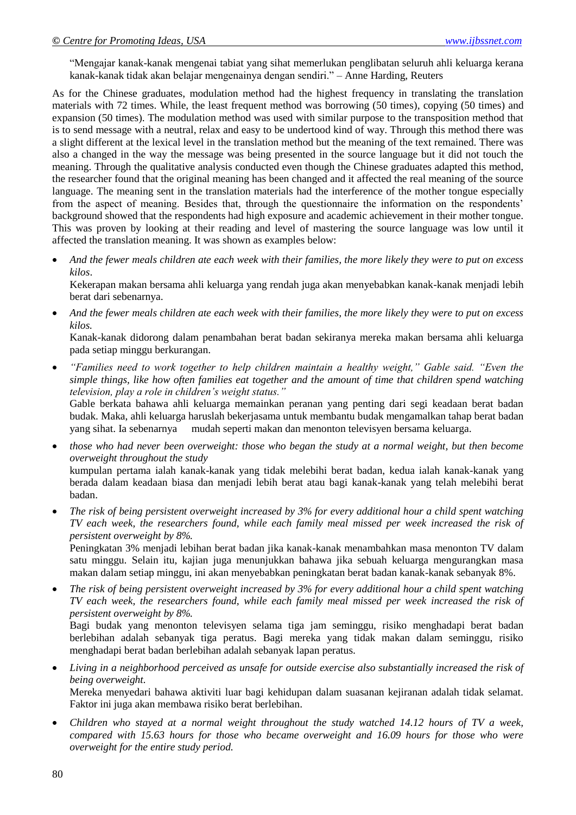"Mengajar kanak-kanak mengenai tabiat yang sihat memerlukan penglibatan seluruh ahli keluarga kerana kanak-kanak tidak akan belajar mengenainya dengan sendiri." – Anne Harding, Reuters

As for the Chinese graduates, modulation method had the highest frequency in translating the translation materials with 72 times. While, the least frequent method was borrowing (50 times), copying (50 times) and expansion (50 times). The modulation method was used with similar purpose to the transposition method that is to send message with a neutral, relax and easy to be undertood kind of way. Through this method there was a slight different at the lexical level in the translation method but the meaning of the text remained. There was also a changed in the way the message was being presented in the source language but it did not touch the meaning. Through the qualitative analysis conducted even though the Chinese graduates adapted this method, the researcher found that the original meaning has been changed and it affected the real meaning of the source language. The meaning sent in the translation materials had the interference of the mother tongue especially from the aspect of meaning. Besides that, through the questionnaire the information on the respondents' background showed that the respondents had high exposure and academic achievement in their mother tongue. This was proven by looking at their reading and level of mastering the source language was low until it affected the translation meaning. It was shown as examples below:

 *And the fewer meals children ate each week with their families, the more likely they were to put on excess kilos*.

Kekerapan makan bersama ahli keluarga yang rendah juga akan menyebabkan kanak-kanak menjadi lebih berat dari sebenarnya.

 *And the fewer meals children ate each week with their families, the more likely they were to put on excess kilos.*

Kanak-kanak didorong dalam penambahan berat badan sekiranya mereka makan bersama ahli keluarga pada setiap minggu berkurangan.

 *"Families need to work together to help children maintain a healthy weight," Gable said. "Even the simple things, like how often families eat together and the amount of time that children spend watching television, play a role in children's weight status."*

Gable berkata bahawa ahli keluarga memainkan peranan yang penting dari segi keadaan berat badan budak. Maka, ahli keluarga haruslah bekerjasama untuk membantu budak mengamalkan tahap berat badan yang sihat. Ia sebenarnya mudah seperti makan dan menonton televisyen bersama keluarga.

- *those who had never been overweight: those who began the study at a normal weight, but then become overweight throughout the study* kumpulan pertama ialah kanak-kanak yang tidak melebihi berat badan, kedua ialah kanak-kanak yang berada dalam keadaan biasa dan menjadi lebih berat atau bagi kanak-kanak yang telah melebihi berat badan.
- *The risk of being persistent overweight increased by 3% for every additional hour a child spent watching TV each week, the researchers found, while each family meal missed per week increased the risk of persistent overweight by 8%.*

Peningkatan 3% menjadi lebihan berat badan jika kanak-kanak menambahkan masa menonton TV dalam satu minggu. Selain itu, kajian juga menunjukkan bahawa jika sebuah keluarga mengurangkan masa makan dalam setiap minggu, ini akan menyebabkan peningkatan berat badan kanak-kanak sebanyak 8%.

 *The risk of being persistent overweight increased by 3% for every additional hour a child spent watching TV each week, the researchers found, while each family meal missed per week increased the risk of persistent overweight by 8%.*

Bagi budak yang menonton televisyen selama tiga jam seminggu, risiko menghadapi berat badan berlebihan adalah sebanyak tiga peratus. Bagi mereka yang tidak makan dalam seminggu, risiko menghadapi berat badan berlebihan adalah sebanyak lapan peratus.

 *Living in a neighborhood perceived as unsafe for outside exercise also substantially increased the risk of being overweight.*

Mereka menyedari bahawa aktiviti luar bagi kehidupan dalam suasanan kejiranan adalah tidak selamat. Faktor ini juga akan membawa risiko berat berlebihan.

 *Children who stayed at a normal weight throughout the study watched 14.12 hours of TV a week, compared with 15.63 hours for those who became overweight and 16.09 hours for those who were overweight for the entire study period.*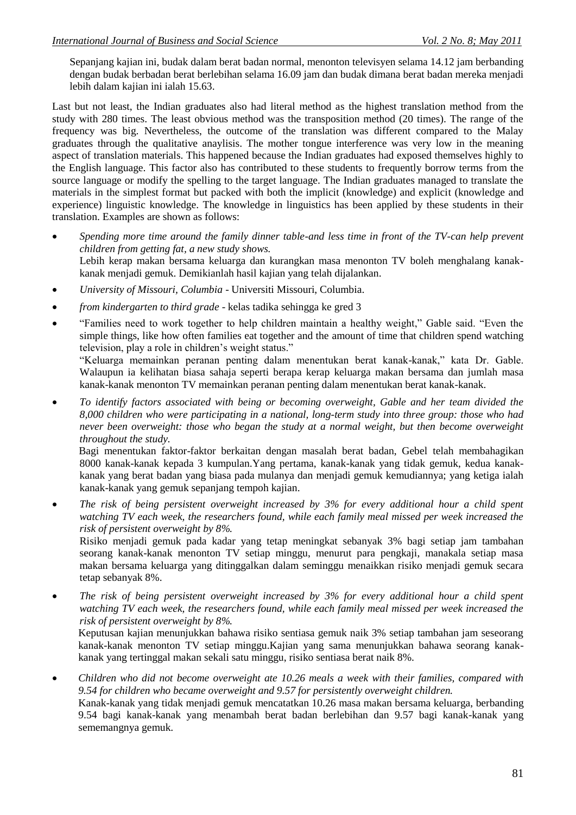Sepanjang kajian ini, budak dalam berat badan normal, menonton televisyen selama 14.12 jam berbanding dengan budak berbadan berat berlebihan selama 16.09 jam dan budak dimana berat badan mereka menjadi lebih dalam kajian ini ialah 15.63.

Last but not least, the Indian graduates also had literal method as the highest translation method from the study with 280 times. The least obvious method was the transposition method (20 times). The range of the frequency was big. Nevertheless, the outcome of the translation was different compared to the Malay graduates through the qualitative anaylisis. The mother tongue interference was very low in the meaning aspect of translation materials. This happened because the Indian graduates had exposed themselves highly to the English language. This factor also has contributed to these students to frequently borrow terms from the source language or modify the spelling to the target language. The Indian graduates managed to translate the materials in the simplest format but packed with both the implicit (knowledge) and explicit (knowledge and experience) linguistic knowledge. The knowledge in linguistics has been applied by these students in their translation. Examples are shown as follows:

- *Spending more time around the family dinner table-and less time in front of the TV-can help prevent children from getting fat, a new study shows.* Lebih kerap makan bersama keluarga dan kurangkan masa menonton TV boleh menghalang kanakkanak menjadi gemuk. Demikianlah hasil kajian yang telah dijalankan.
- *University of Missouri, Columbia* Universiti Missouri, Columbia.
- *from kindergarten to third grade* kelas tadika sehingga ke gred 3

sememangnya gemuk.

 "Families need to work together to help children maintain a healthy weight," Gable said. "Even the simple things, like how often families eat together and the amount of time that children spend watching television, play a role in children"s weight status."

"Keluarga memainkan peranan penting dalam menentukan berat kanak-kanak," kata Dr. Gable. Walaupun ia kelihatan biasa sahaja seperti berapa kerap keluarga makan bersama dan jumlah masa kanak-kanak menonton TV memainkan peranan penting dalam menentukan berat kanak-kanak.

 *To identify factors associated with being or becoming overweight, Gable and her team divided the 8,000 children who were participating in a national, long-term study into three group: those who had never been overweight: those who began the study at a normal weight, but then become overweight throughout the study.*

 Bagi menentukan faktor-faktor berkaitan dengan masalah berat badan, Gebel telah membahagikan 8000 kanak-kanak kepada 3 kumpulan.Yang pertama, kanak-kanak yang tidak gemuk, kedua kanakkanak yang berat badan yang biasa pada mulanya dan menjadi gemuk kemudiannya; yang ketiga ialah kanak-kanak yang gemuk sepanjang tempoh kajian.

 *The risk of being persistent overweight increased by 3% for every additional hour a child spent watching TV each week, the researchers found, while each family meal missed per week increased the risk of persistent overweight by 8%.*

Risiko menjadi gemuk pada kadar yang tetap meningkat sebanyak 3% bagi setiap jam tambahan seorang kanak-kanak menonton TV setiap minggu, menurut para pengkaji, manakala setiap masa makan bersama keluarga yang ditinggalkan dalam seminggu menaikkan risiko menjadi gemuk secara tetap sebanyak 8%.

 *The risk of being persistent overweight increased by 3% for every additional hour a child spent watching TV each week, the researchers found, while each family meal missed per week increased the risk of persistent overweight by 8%.*

Keputusan kajian menunjukkan bahawa risiko sentiasa gemuk naik 3% setiap tambahan jam seseorang kanak-kanak menonton TV setiap minggu.Kajian yang sama menunjukkan bahawa seorang kanakkanak yang tertinggal makan sekali satu minggu, risiko sentiasa berat naik 8%.

 *Children who did not become overweight ate 10.26 meals a week with their families, compared with 9.54 for children who became overweight and 9.57 for persistently overweight children.* Kanak-kanak yang tidak menjadi gemuk mencatatkan 10.26 masa makan bersama keluarga, berbanding 9.54 bagi kanak-kanak yang menambah berat badan berlebihan dan 9.57 bagi kanak-kanak yang